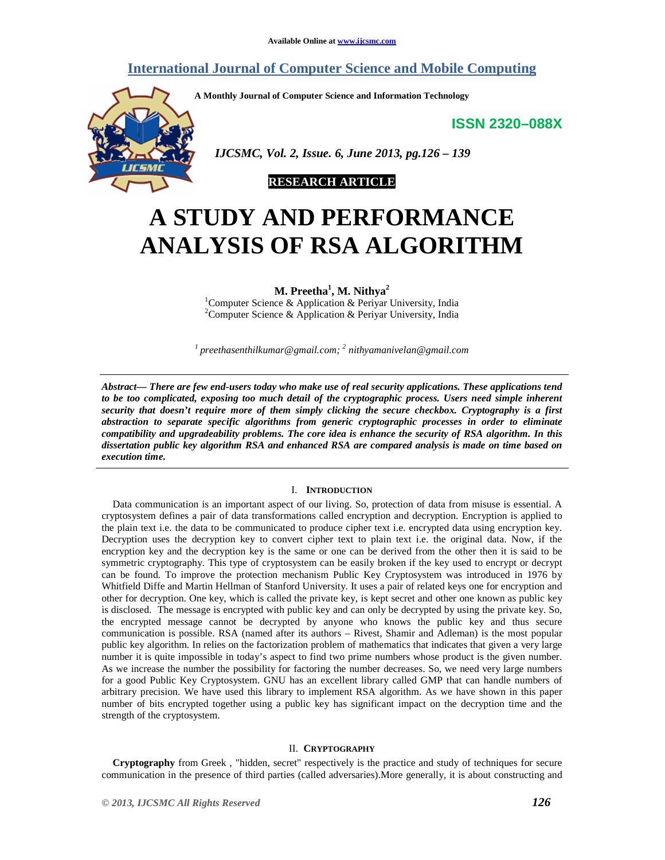# **International Journal of Computer Science and Mobile Computing**

**A Monthly Journal of Computer Science and Information Technology** 

**ISSN 2320–088X**



 *IJCSMC, Vol. 2, Issue. 6, June 2013, pg.126 – 139* 



# **A STUDY AND PERFORMANCE ANALYSIS OF RSA ALGORITHM**

**M. Preetha<sup>1</sup> , M. Nithya<sup>2</sup>**

<sup>1</sup>Computer Science & Application & Periyar University, India <sup>2</sup>Computer Science & Application & Periyar University, India

*<sup>1</sup>preethasenthilkumar@gmail.com; <sup>2</sup> nithyamanivelan@gmail.com*

*Abstract— There are few end-users today who make use of real security applications. These applications tend to be too complicated, exposing too much detail of the cryptographic process. Users need simple inherent security that doesn't require more of them simply clicking the secure checkbox. Cryptography is a first abstraction to separate specific algorithms from generic cryptographic processes in order to eliminate compatibility and upgradeability problems. The core idea is enhance the security of RSA algorithm. In this dissertation public key algorithm RSA and enhanced RSA are compared analysis is made on time based on execution time.* 

# I. **INTRODUCTION**

Data communication is an important aspect of our living. So, protection of data from misuse is essential. A cryptosystem defines a pair of data transformations called encryption and decryption. Encryption is applied to the plain text i.e. the data to be communicated to produce cipher text i.e. encrypted data using encryption key. Decryption uses the decryption key to convert cipher text to plain text i.e. the original data. Now, if the encryption key and the decryption key is the same or one can be derived from the other then it is said to be symmetric cryptography. This type of cryptosystem can be easily broken if the key used to encrypt or decrypt can be found. To improve the protection mechanism Public Key Cryptosystem was introduced in 1976 by Whitfield Diffe and Martin Hellman of Stanford University. It uses a pair of related keys one for encryption and other for decryption. One key, which is called the private key, is kept secret and other one known as public key is disclosed. The message is encrypted with public key and can only be decrypted by using the private key. So, the encrypted message cannot be decrypted by anyone who knows the public key and thus secure communication is possible. RSA (named after its authors – Rivest, Shamir and Adleman) is the most popular public key algorithm. In relies on the factorization problem of mathematics that indicates that given a very large number it is quite impossible in today's aspect to find two prime numbers whose product is the given number. As we increase the number the possibility for factoring the number decreases. So, we need very large numbers for a good Public Key Cryptosystem. GNU has an excellent library called GMP that can handle numbers of arbitrary precision. We have used this library to implement RSA algorithm. As we have shown in this paper number of bits encrypted together using a public key has significant impact on the decryption time and the strength of the cryptosystem.

#### II. **CRYPTOGRAPHY**

**Cryptography** from Greek , "hidden, secret" respectively is the practice and study of techniques for secure communication in the presence of third parties (called adversaries).More generally, it is about constructing and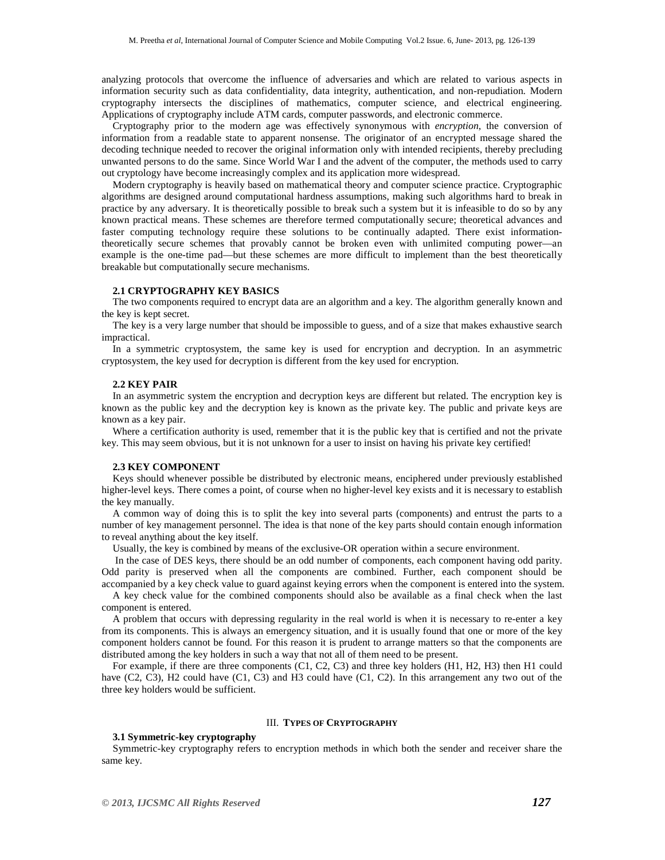analyzing protocols that overcome the influence of adversaries and which are related to various aspects in information security such as data confidentiality, data integrity, authentication, and non-repudiation. Modern cryptography intersects the disciplines of mathematics, computer science, and electrical engineering. Applications of cryptography include ATM cards, computer passwords, and electronic commerce.

Cryptography prior to the modern age was effectively synonymous with *encryption*, the conversion of information from a readable state to apparent nonsense. The originator of an encrypted message shared the decoding technique needed to recover the original information only with intended recipients, thereby precluding unwanted persons to do the same. Since World War I and the advent of the computer, the methods used to carry out cryptology have become increasingly complex and its application more widespread.

Modern cryptography is heavily based on mathematical theory and computer science practice. Cryptographic algorithms are designed around computational hardness assumptions, making such algorithms hard to break in practice by any adversary. It is theoretically possible to break such a system but it is infeasible to do so by any known practical means. These schemes are therefore termed computationally secure; theoretical advances and faster computing technology require these solutions to be continually adapted. There exist informationtheoretically secure schemes that provably cannot be broken even with unlimited computing power—an example is the one-time pad—but these schemes are more difficult to implement than the best theoretically breakable but computationally secure mechanisms.

#### **2.1 CRYPTOGRAPHY KEY BASICS**

The two components required to encrypt data are an algorithm and a key. The algorithm generally known and the key is kept secret.

The key is a very large number that should be impossible to guess, and of a size that makes exhaustive search impractical.

In a symmetric cryptosystem, the same key is used for encryption and decryption. In an asymmetric cryptosystem, the key used for decryption is different from the key used for encryption.

#### **2.2 KEY PAIR**

In an asymmetric system the encryption and decryption keys are different but related. The encryption key is known as the public key and the decryption key is known as the private key. The public and private keys are known as a key pair.

Where a certification authority is used, remember that it is the public key that is certified and not the private key. This may seem obvious, but it is not unknown for a user to insist on having his private key certified!

#### **2.3 KEY COMPONENT**

Keys should whenever possible be distributed by electronic means, enciphered under previously established higher-level keys. There comes a point, of course when no higher-level key exists and it is necessary to establish the key manually.

A common way of doing this is to split the key into several parts (components) and entrust the parts to a number of key management personnel. The idea is that none of the key parts should contain enough information to reveal anything about the key itself.

Usually, the key is combined by means of the exclusive-OR operation within a secure environment.

 In the case of DES keys, there should be an odd number of components, each component having odd parity. Odd parity is preserved when all the components are combined. Further, each component should be accompanied by a key check value to guard against keying errors when the component is entered into the system.

A key check value for the combined components should also be available as a final check when the last component is entered.

A problem that occurs with depressing regularity in the real world is when it is necessary to re-enter a key from its components. This is always an emergency situation, and it is usually found that one or more of the key component holders cannot be found. For this reason it is prudent to arrange matters so that the components are distributed among the key holders in such a way that not all of them need to be present.

For example, if there are three components (C1, C2, C3) and three key holders (H1, H2, H3) then H1 could have (C2, C3), H2 could have (C1, C3) and H3 could have (C1, C2). In this arrangement any two out of the three key holders would be sufficient.

#### III. **TYPES OF CRYPTOGRAPHY**

#### **3.1 Symmetric-key cryptography**

Symmetric-key cryptography refers to encryption methods in which both the sender and receiver share the same key.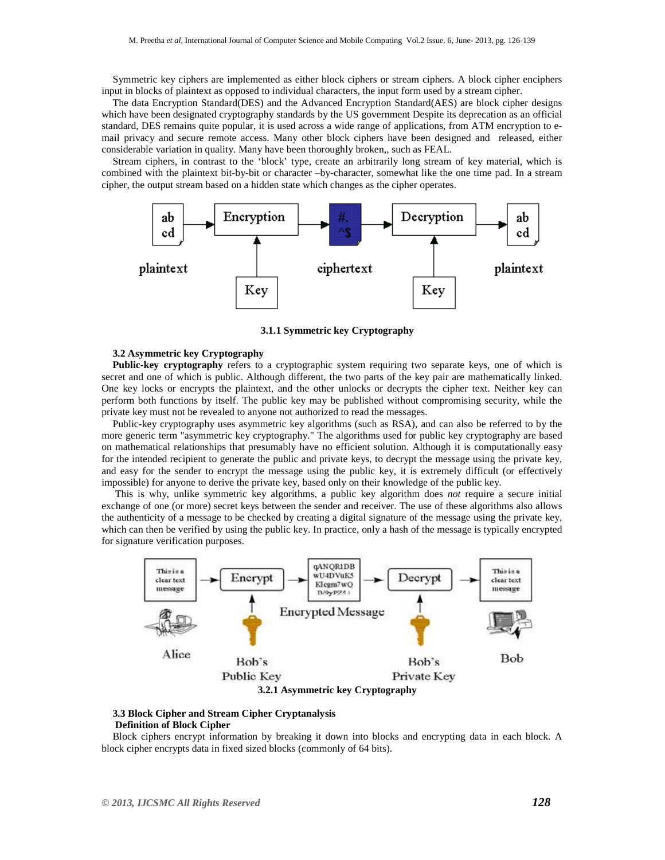Symmetric key ciphers are implemented as either block ciphers or stream ciphers. A block cipher enciphers input in blocks of plaintext as opposed to individual characters, the input form used by a stream cipher.

The data Encryption Standard(DES) and the Advanced Encryption Standard(AES) are block cipher designs which have been designated cryptography standards by the US government Despite its deprecation as an official standard, DES remains quite popular, it is used across a wide range of applications, from ATM encryption to email privacy and secure remote access. Many other block ciphers have been designed and released, either considerable variation in quality. Many have been thoroughly broken,, such as FEAL.

Stream ciphers, in contrast to the 'block' type, create an arbitrarily long stream of key material, which is combined with the plaintext bit-by-bit or character –by-character, somewhat like the one time pad. In a stream cipher, the output stream based on a hidden state which changes as the cipher operates.



**3.1.1 Symmetric key Cryptography** 

# **3.2 Asymmetric key Cryptography**

**Public-key cryptography** refers to a cryptographic system requiring two separate keys, one of which is secret and one of which is public. Although different, the two parts of the key pair are mathematically linked. One key locks or encrypts the plaintext, and the other unlocks or decrypts the cipher text. Neither key can perform both functions by itself. The public key may be published without compromising security, while the private key must not be revealed to anyone not authorized to read the messages.

Public-key cryptography uses asymmetric key algorithms (such as RSA), and can also be referred to by the more generic term "asymmetric key cryptography." The algorithms used for public key cryptography are based on mathematical relationships that presumably have no efficient solution. Although it is computationally easy for the intended recipient to generate the public and private keys, to decrypt the message using the private key, and easy for the sender to encrypt the message using the public key, it is extremely difficult (or effectively impossible) for anyone to derive the private key, based only on their knowledge of the public key.

 This is why, unlike symmetric key algorithms, a public key algorithm does *not* require a secure initial exchange of one (or more) secret keys between the sender and receiver. The use of these algorithms also allows the authenticity of a message to be checked by creating a digital signature of the message using the private key, which can then be verified by using the public key. In practice, only a hash of the message is typically encrypted for signature verification purposes.



## **3.3 Block Cipher and Stream Cipher Cryptanalysis Definition of Block Cipher**

Block ciphers encrypt information by breaking it down into blocks and encrypting data in each block. A block cipher encrypts data in fixed sized blocks (commonly of 64 bits).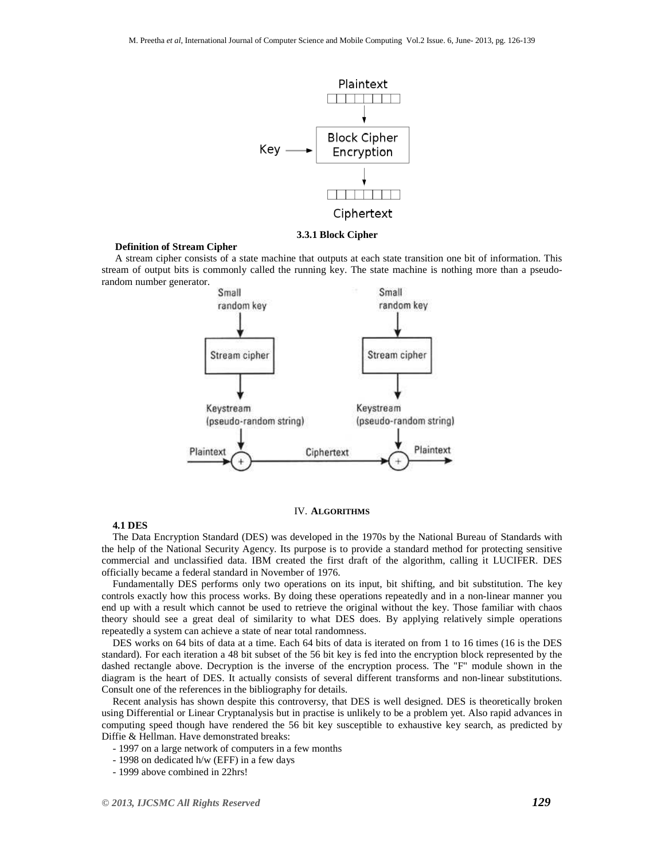

#### **3.3.1 Block Cipher**

#### **Definition of Stream Cipher**

 A stream cipher consists of a state machine that outputs at each state transition one bit of information. This stream of output bits is commonly called the running key. The state machine is nothing more than a pseudorandom number generator.



#### IV. **ALGORITHMS**

# **4.1 DES**

The Data Encryption Standard (DES) was developed in the 1970s by the National Bureau of Standards with the help of the National Security Agency. Its purpose is to provide a standard method for protecting sensitive commercial and unclassified data. IBM created the first draft of the algorithm, calling it LUCIFER. DES officially became a federal standard in November of 1976.

Fundamentally DES performs only two operations on its input, bit shifting, and bit substitution. The key controls exactly how this process works. By doing these operations repeatedly and in a non-linear manner you end up with a result which cannot be used to retrieve the original without the key. Those familiar with chaos theory should see a great deal of similarity to what DES does. By applying relatively simple operations repeatedly a system can achieve a state of near total randomness.

DES works on 64 bits of data at a time. Each 64 bits of data is iterated on from 1 to 16 times (16 is the DES standard). For each iteration a 48 bit subset of the 56 bit key is fed into the encryption block represented by the dashed rectangle above. Decryption is the inverse of the encryption process. The "F" module shown in the diagram is the heart of DES. It actually consists of several different transforms and non-linear substitutions. Consult one of the references in the bibliography for details.

Recent analysis has shown despite this controversy, that DES is well designed. DES is theoretically broken using Differential or Linear Cryptanalysis but in practise is unlikely to be a problem yet. Also rapid advances in computing speed though have rendered the 56 bit key susceptible to exhaustive key search, as predicted by Diffie & Hellman. Have demonstrated breaks:

- 1997 on a large network of computers in a few months

- 1998 on dedicated h/w (EFF) in a few days
- 1999 above combined in 22hrs!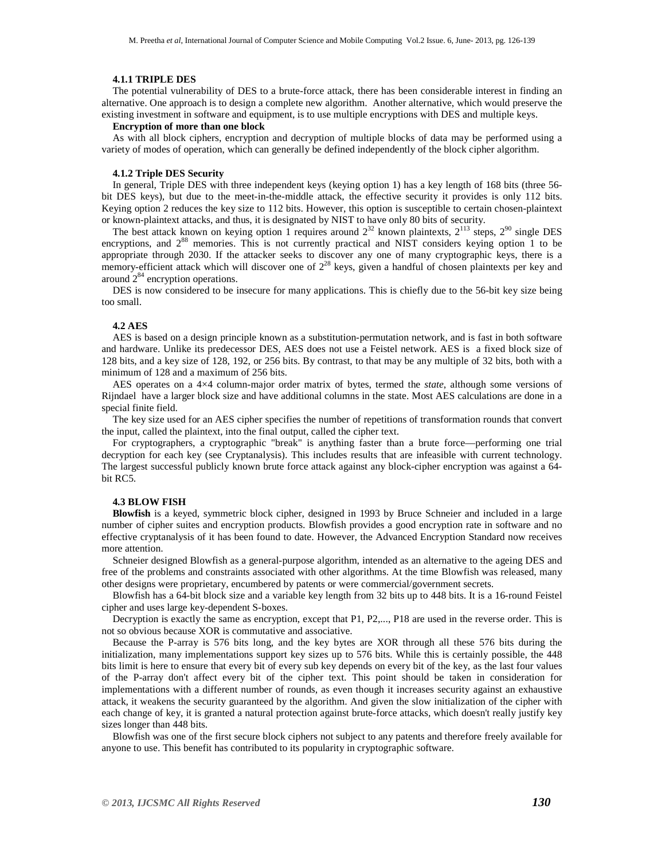#### **4.1.1 TRIPLE DES**

The potential vulnerability of DES to a brute-force attack, there has been considerable interest in finding an alternative. One approach is to design a complete new algorithm. Another alternative, which would preserve the existing investment in software and equipment, is to use multiple encryptions with DES and multiple keys.

#### **Encryption of more than one block**

As with all block ciphers, encryption and decryption of multiple blocks of data may be performed using a variety of modes of operation, which can generally be defined independently of the block cipher algorithm.

# **4.1.2 Triple DES Security**

In general, Triple DES with three independent keys (keying option 1) has a key length of 168 bits (three 56 bit DES keys), but due to the meet-in-the-middle attack, the effective security it provides is only 112 bits. Keying option 2 reduces the key size to 112 bits. However, this option is susceptible to certain chosen-plaintext or known-plaintext attacks, and thus, it is designated by NIST to have only 80 bits of security.

The best attack known on keying option 1 requires around  $2^{32}$  known plaintexts,  $2^{113}$  steps,  $2^{90}$  single DES encryptions, and 2<sup>88</sup> memories. This is not currently practical and NIST considers keying option 1 to be appropriate through 2030. If the attacker seeks to discover any one of many cryptographic keys, there is a memory-efficient attack which will discover one of  $2^{28}$  keys, given a handful of chosen plaintexts per key and around  $2^{84}$  encryption operations.

DES is now considered to be insecure for many applications. This is chiefly due to the 56-bit key size being too small.

#### **4.2 AES**

AES is based on a design principle known as a substitution-permutation network, and is fast in both software and hardware. Unlike its predecessor DES, AES does not use a Feistel network. AES is a fixed block size of 128 bits, and a key size of 128, 192, or 256 bits. By contrast, to that may be any multiple of 32 bits, both with a minimum of 128 and a maximum of 256 bits.

AES operates on a 4×4 column-major order matrix of bytes, termed the *state*, although some versions of Rijndael have a larger block size and have additional columns in the state. Most AES calculations are done in a special finite field.

The key size used for an AES cipher specifies the number of repetitions of transformation rounds that convert the input, called the plaintext, into the final output, called the cipher text.

For cryptographers, a cryptographic "break" is anything faster than a brute force—performing one trial decryption for each key (see Cryptanalysis). This includes results that are infeasible with current technology. The largest successful publicly known brute force attack against any block-cipher encryption was against a 64 bit RC5.

#### **4.3 BLOW FISH**

**Blowfish** is a keyed, symmetric block cipher, designed in 1993 by Bruce Schneier and included in a large number of cipher suites and encryption products. Blowfish provides a good encryption rate in software and no effective cryptanalysis of it has been found to date. However, the Advanced Encryption Standard now receives more attention.

Schneier designed Blowfish as a general-purpose algorithm, intended as an alternative to the ageing DES and free of the problems and constraints associated with other algorithms. At the time Blowfish was released, many other designs were proprietary, encumbered by patents or were commercial/government secrets.

Blowfish has a 64-bit block size and a variable key length from 32 bits up to 448 bits. It is a 16-round Feistel cipher and uses large key-dependent S-boxes.

Decryption is exactly the same as encryption, except that P1, P2,..., P18 are used in the reverse order. This is not so obvious because XOR is commutative and associative.

Because the P-array is 576 bits long, and the key bytes are XOR through all these 576 bits during the initialization, many implementations support key sizes up to 576 bits. While this is certainly possible, the 448 bits limit is here to ensure that every bit of every sub key depends on every bit of the key, as the last four values of the P-array don't affect every bit of the cipher text. This point should be taken in consideration for implementations with a different number of rounds, as even though it increases security against an exhaustive attack, it weakens the security guaranteed by the algorithm. And given the slow initialization of the cipher with each change of key, it is granted a natural protection against brute-force attacks, which doesn't really justify key sizes longer than 448 bits.

Blowfish was one of the first secure block ciphers not subject to any patents and therefore freely available for anyone to use. This benefit has contributed to its popularity in cryptographic software.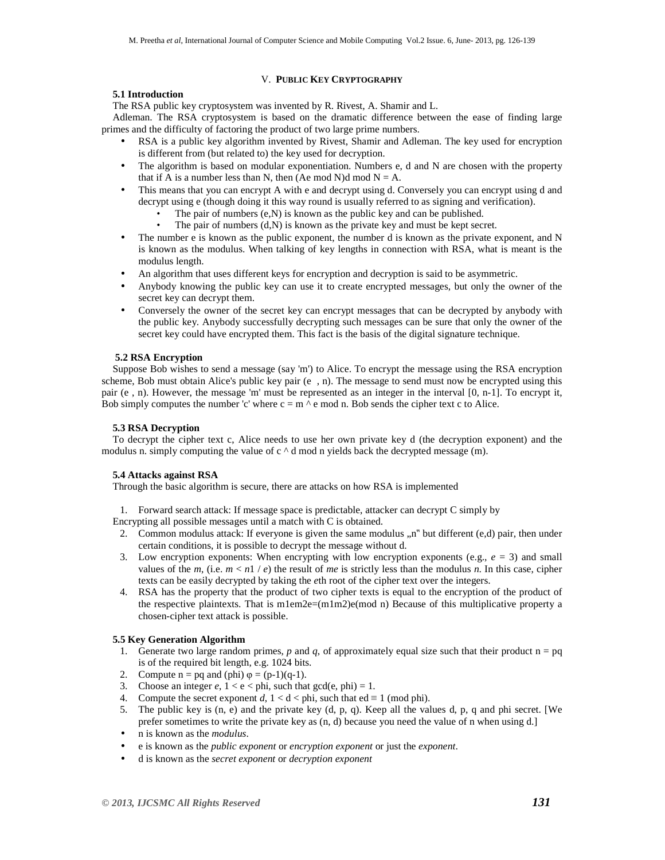# V. **PUBLIC KEY CRYPTOGRAPHY**

# **5.1 Introduction**

The RSA public key cryptosystem was invented by R. Rivest, A. Shamir and L.

Adleman. The RSA cryptosystem is based on the dramatic difference between the ease of finding large primes and the difficulty of factoring the product of two large prime numbers.

- RSA is a public key algorithm invented by Rivest, Shamir and Adleman. The key used for encryption is different from (but related to) the key used for decryption.
- The algorithm is based on modular exponentiation. Numbers e, d and N are chosen with the property that if A is a number less than N, then (Ae mod N)d mod  $N = A$ .
- This means that you can encrypt A with e and decrypt using d. Conversely you can encrypt using d and decrypt using e (though doing it this way round is usually referred to as signing and verification).
	- The pair of numbers (e,N) is known as the public key and can be published.
	- The pair of numbers  $(d,N)$  is known as the private key and must be kept secret.
- The number e is known as the public exponent, the number d is known as the private exponent, and N is known as the modulus. When talking of key lengths in connection with RSA, what is meant is the modulus length.
- An algorithm that uses different keys for encryption and decryption is said to be asymmetric.
- Anybody knowing the public key can use it to create encrypted messages, but only the owner of the secret key can decrypt them.
- Conversely the owner of the secret key can encrypt messages that can be decrypted by anybody with the public key. Anybody successfully decrypting such messages can be sure that only the owner of the secret key could have encrypted them. This fact is the basis of the digital signature technique.

#### **5.2 RSA Encryption**

Suppose Bob wishes to send a message (say 'm') to Alice. To encrypt the message using the RSA encryption scheme, Bob must obtain Alice's public key pair (e , n). The message to send must now be encrypted using this pair (e , n). However, the message 'm' must be represented as an integer in the interval [0, n-1]. To encrypt it, Bob simply computes the number 'c' where  $c = m \land e \mod n$ . Bob sends the cipher text c to Alice.

# **5.3 RSA Decryption**

To decrypt the cipher text c, Alice needs to use her own private key d (the decryption exponent) and the modulus n. simply computing the value of  $c \wedge d$  mod n yields back the decrypted message (m).

#### **5.4 Attacks against RSA**

Through the basic algorithm is secure, there are attacks on how RSA is implemented

1. Forward search attack: If message space is predictable, attacker can decrypt C simply by

Encrypting all possible messages until a match with C is obtained.

- 2. Common modulus attack: If everyone is given the same modulus  $\mu$ " but different (e,d) pair, then under certain conditions, it is possible to decrypt the message without d.
- 3. Low encryption exponents: When encrypting with low encryption exponents (e.g.,  $e = 3$ ) and small values of the *m*, (i.e.  $m < n1 / e$ ) the result of *me* is strictly less than the modulus *n*. In this case, cipher texts can be easily decrypted by taking the *e*th root of the cipher text over the integers.
- 4. RSA has the property that the product of two cipher texts is equal to the encryption of the product of the respective plaintexts. That is m1em2e=(m1m2)e(mod n) Because of this multiplicative property a chosen-cipher text attack is possible.

# **5.5 Key Generation Algorithm**

- 1. Generate two large random primes,  $p$  and  $q$ , of approximately equal size such that their product  $n = pq$ is of the required bit length, e.g. 1024 bits.
- 2. Compute  $n = pq$  and (phi)  $\varphi = (p-1)(q-1)$ .
- 3. Choose an integer  $e$ ,  $1 < e <$  phi, such that  $gcd(e, phi) = 1$ .
- 4. Compute the secret exponent *d*,  $1 < d <$  phi, such that ed  $\equiv 1 \pmod{\text{phi}}$ .
- 5. The public key is (n, e) and the private key (d, p, q). Keep all the values d, p, q and phi secret. [We prefer sometimes to write the private key as (n, d) because you need the value of n when using d.]
- n is known as the *modulus*.
- e is known as the *public exponent* or *encryption exponent* or just the *exponent*.
- d is known as the *secret exponent* or *decryption exponent*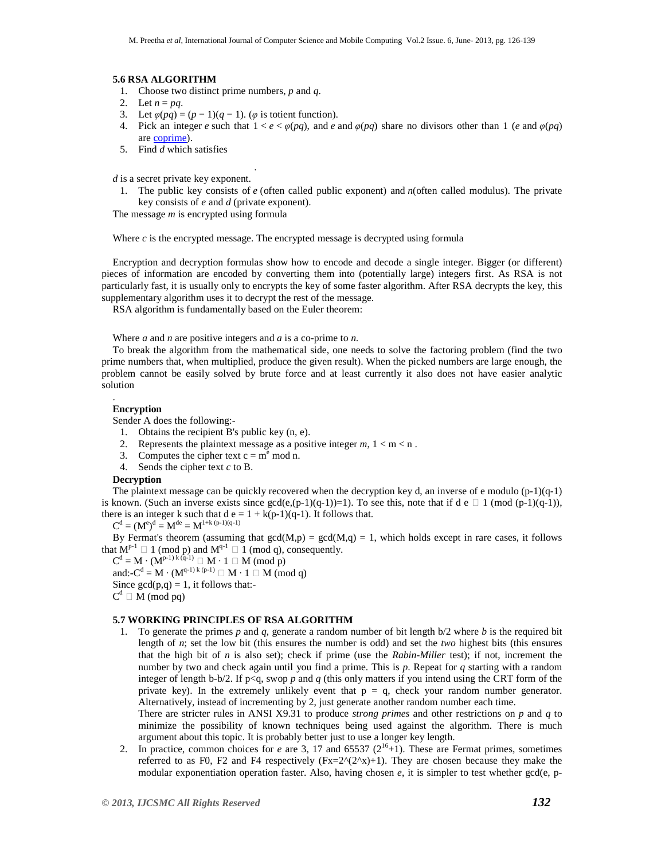#### **5.6 RSA ALGORITHM**

- 1. Choose two distinct prime numbers, *p* and *q*.
- 2. Let  $n = pq$ .
- 3. Let  $\varphi(pq) = (p-1)(q-1)$ . ( $\varphi$  is totient function).

.

- 4. Pick an integer *e* such that  $1 < e < \varphi(pq)$ , and *e* and  $\varphi(pq)$  share no divisors other than 1 (*e* and  $\varphi(pq)$ ) are coprime).
- 5. Find *d* which satisfies

*d* is a secret private key exponent.

1. The public key consists of *e* (often called public exponent) and *n*(often called modulus). The private key consists of *e* and *d* (private exponent).

The message *m* is encrypted using formula

Where  $c$  is the encrypted message. The encrypted message is decrypted using formula

Encryption and decryption formulas show how to encode and decode a single integer. Bigger (or different) pieces of information are encoded by converting them into (potentially large) integers first. As RSA is not particularly fast, it is usually only to encrypts the key of some faster algorithm. After RSA decrypts the key, this supplementary algorithm uses it to decrypt the rest of the message.

RSA algorithm is fundamentally based on the Euler theorem:

Where *a* and *n* are positive integers and *a* is a co-prime to *n*.

To break the algorithm from the mathematical side, one needs to solve the factoring problem (find the two prime numbers that, when multiplied, produce the given result). When the picked numbers are large enough, the problem cannot be easily solved by brute force and at least currently it also does not have easier analytic solution

#### . **Encryption**

Sender A does the following:-

- 1. Obtains the recipient B's public key (n, e).
- 2. Represents the plaintext message as a positive integer  $m, 1 < m < n$ .
- 3. Computes the cipher text  $c = m<sup>e</sup>$  mod n.
- 4. Sends the cipher text *c* to B.

#### **Decryption**

The plaintext message can be quickly recovered when the decryption key d, an inverse of e modulo  $(p-1)(q-1)$ is known. (Such an inverse exists since  $gcd(e,(p-1)(q-1))=1$ ). To see this, note that if d e  $\Box$  1 (mod (p-1)(q-1)), there is an integer k such that  $d e = 1 + k(p-1)(q-1)$ . It follows that.

$$
C^d = (M^e)^d = M^{de} = M^{1+k (p-1)(q-1)}
$$

By Fermat's theorem (assuming that  $gcd(M,p) = gcd(M,q) = 1$ , which holds except in rare cases, it follows that  $M^{p-1} \square 1 \pmod{p}$  and  $M^{q-1} \square 1 \pmod{q}$ , consequently.

 $C^d = M \cdot (M^{p-1) k (q-1)} \square M \cdot 1 \square M (mod p)$ 

and: $-C^d = M \cdot (M^{q-1) k (p-1)} \square M \cdot 1 \square M \pmod{q}$ 

Since  $gcd(p,q) = 1$ , it follows that:-

 $C^d \square M \pmod{pq}$ 

# **5.7 WORKING PRINCIPLES OF RSA ALGORITHM**

1. To generate the primes *p* and *q*, generate a random number of bit length b/2 where *b* is the required bit length of *n*; set the low bit (this ensures the number is odd) and set the *two* highest bits (this ensures that the high bit of *n* is also set); check if prime (use the *Rabin-Miller* test); if not, increment the number by two and check again until you find a prime. This is *p*. Repeat for *q* starting with a random integer of length b-b/2. If p<q, swop *p* and *q* (this only matters if you intend using the CRT form of the private key). In the extremely unlikely event that  $p = q$ , check your random number generator. Alternatively, instead of incrementing by 2, just generate another random number each time.

There are stricter rules in ANSI X9.31 to produce *strong primes* and other restrictions on *p* and *q* to minimize the possibility of known techniques being used against the algorithm. There is much argument about this topic. It is probably better just to use a longer key length.

2. In practice, common choices for *e* are 3, 17 and 65537 ( $2^{16}+1$ ). These are Fermat primes, sometimes referred to as F0, F2 and F4 respectively  $(Fx=2^{\alpha}(2^{\alpha}x)+1)$ . They are chosen because they make the modular exponentiation operation faster. Also, having chosen *e*, it is simpler to test whether gcd(e, p-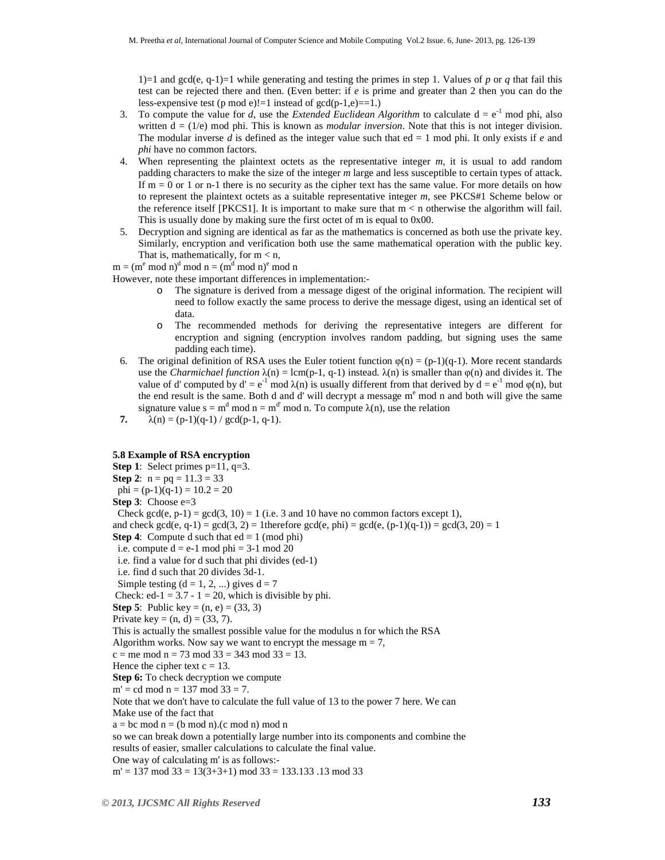1)=1 and gcd(e,  $q-1$ )=1 while generating and testing the primes in step 1. Values of *p* or *q* that fail this test can be rejected there and then. (Even better: if *e* is prime and greater than 2 then you can do the less-expensive test (p mod e)!=1 instead of  $gcd(p-1,e)=1$ .)

- 3. To compute the value for *d*, use the *Extended Euclidean Algorithm* to calculate  $d = e^{-1}$  mod phi, also written  $d = (1/e)$  mod phi. This is known as *modular inversion*. Note that this is not integer division. The modular inverse *d* is defined as the integer value such that ed = 1 mod phi. It only exists if *e* and *phi* have no common factors.
- 4. When representing the plaintext octets as the representative integer *m*, it is usual to add random padding characters to make the size of the integer *m* large and less susceptible to certain types of attack. If  $m = 0$  or 1 or n-1 there is no security as the cipher text has the same value. For more details on how to represent the plaintext octets as a suitable representative integer *m*, see PKCS#1 Scheme below or the reference itself [PKCS1]. It is important to make sure that  $m < n$  otherwise the algorithm will fail. This is usually done by making sure the first octet of m is equal to 0x00.
- 5. Decryption and signing are identical as far as the mathematics is concerned as both use the private key. Similarly, encryption and verification both use the same mathematical operation with the public key. That is, mathematically, for  $m < n$ ,
- $m = (m<sup>e</sup> mod n)<sup>d</sup> mod n = (m<sup>d</sup> mod n)<sup>e</sup> mod n$

However, note these important differences in implementation:-

- o The signature is derived from a message digest of the original information. The recipient will need to follow exactly the same process to derive the message digest, using an identical set of data.
- o The recommended methods for deriving the representative integers are different for encryption and signing (encryption involves random padding, but signing uses the same padding each time).
- 6. The original definition of RSA uses the Euler totient function  $\varphi(n) = (p-1)(q-1)$ . More recent standards use the *Charmichael function*  $\lambda(n) = \text{lcm}(p-1, q-1)$  instead.  $\lambda(n)$  is smaller than  $\varphi(n)$  and divides it. The value of d' computed by d' =  $e^{-1}$  mod  $\lambda(n)$  is usually different from that derived by  $d = e^{-1}$  mod  $\varphi(n)$ , but the end result is the same. Both d and d' will decrypt a message m<sup>e</sup> mod n and both will give the same signature value  $s = m^d \mod n = m^{d'} \mod n$ . To compute  $\lambda(n)$ , use the relation
- **7.**  $\lambda(n) = (p-1)(q-1) / gcd(p-1, q-1).$

# **5.8 Example of RSA encryption**

**Step 1**: Select primes  $p=11$ ,  $q=3$ . **Step 2:**  $n = pq = 11.3 = 33$ phi =  $(p-1)(q-1) = 10.2 = 20$ **Step 3**: Choose e=3 Check gcd(e,  $p-1$ ) = gcd(3, 10) = 1 (i.e. 3 and 10 have no common factors except 1), and check  $gcd(e, q-1) = gcd(3, 2) = 1$ therefore  $gcd(e, phi) = gcd(e, (p-1)(q-1)) = gcd(3, 20) = 1$ **Step 4:** Compute d such that  $ed \equiv 1 \pmod{phi}$ i.e. compute  $d = e-1$  mod phi = 3-1 mod 20 i.e. find a value for d such that phi divides (ed-1) i.e. find d such that 20 divides 3d-1. Simple testing  $(d = 1, 2, ...)$  gives  $d = 7$ Check: ed-1 =  $3.7 - 1 = 20$ , which is divisible by phi. **Step 5**: Public key =  $(n, e)$  = (33, 3) Private key =  $(n, d)$  = (33, 7). This is actually the smallest possible value for the modulus n for which the RSA Algorithm works. Now say we want to encrypt the message  $m = 7$ ,  $c =$  me mod  $n = 73 \text{ mod } 33 = 343 \text{ mod } 33 = 13$ . Hence the cipher text  $c = 13$ . **Step 6:** To check decryption we compute  $m' = cd \mod n = 137 \mod 33 = 7$ . Note that we don't have to calculate the full value of 13 to the power 7 here. We can Make use of the fact that  $a = bc \mod n = (b \mod n)$ .(c mod n) mod n so we can break down a potentially large number into its components and combine the results of easier, smaller calculations to calculate the final value. One way of calculating m' is as follows:  $m' = 137 \mod 33 = 13(3+3+1) \mod 33 = 133.133$ . 13 mod 33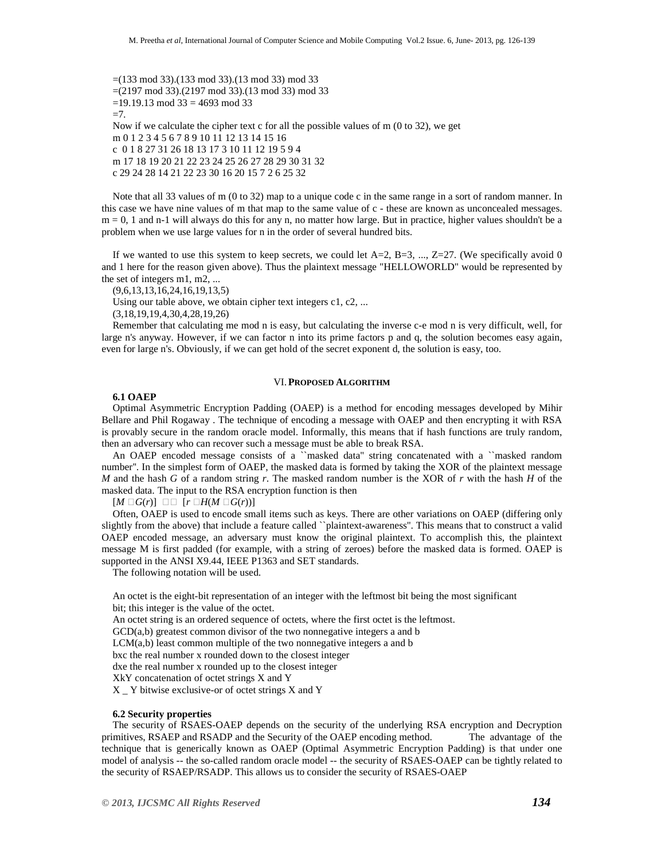$=(133 \mod 33)$ . (133 mod 33). (13 mod 33) mod 33 =(2197 mod 33).(2197 mod 33).(13 mod 33) mod 33  $=19.19.13 \text{ mod } 33 = 4693 \text{ mod } 33$  $=7$ Now if we calculate the cipher text c for all the possible values of m (0 to 32), we get m 0 1 2 3 4 5 6 7 8 9 10 11 12 13 14 15 16 c 0 1 8 27 31 26 18 13 17 3 10 11 12 19 5 9 4 m 17 18 19 20 21 22 23 24 25 26 27 28 29 30 31 32 c 29 24 28 14 21 22 23 30 16 20 15 7 2 6 25 32

Note that all 33 values of m (0 to 32) map to a unique code c in the same range in a sort of random manner. In this case we have nine values of m that map to the same value of c - these are known as unconcealed messages.  $m = 0$ , 1 and n-1 will always do this for any n, no matter how large. But in practice, higher values shouldn't be a problem when we use large values for n in the order of several hundred bits.

If we wanted to use this system to keep secrets, we could let  $A=2$ ,  $B=3$ , ...,  $Z=27$ . (We specifically avoid 0 and 1 here for the reason given above). Thus the plaintext message "HELLOWORLD" would be represented by the set of integers m1, m2, ...

(9,6,13,13,16,24,16,19,13,5)

Using our table above, we obtain cipher text integers c1, c2, ...

(3,18,19,19,4,30,4,28,19,26)

Remember that calculating me mod n is easy, but calculating the inverse c-e mod n is very difficult, well, for large n's anyway. However, if we can factor n into its prime factors p and q, the solution becomes easy again, even for large n's. Obviously, if we can get hold of the secret exponent d, the solution is easy, too.

# VI.**PROPOSED ALGORITHM**

# **6.1 OAEP**

Optimal Asymmetric Encryption Padding (OAEP) is a method for encoding messages developed by Mihir Bellare and Phil Rogaway . The technique of encoding a message with OAEP and then encrypting it with RSA is provably secure in the random oracle model. Informally, this means that if hash functions are truly random, then an adversary who can recover such a message must be able to break RSA.

An OAEP encoded message consists of a ``masked data'' string concatenated with a ``masked random number''. In the simplest form of OAEP, the masked data is formed by taking the XOR of the plaintext message *M* and the hash *G* of a random string *r*. The masked random number is the XOR of *r* with the hash *H* of the masked data. The input to the RSA encryption function is then

 $[M \Box G(r)] \Box \Box$   $[r \Box H(M \Box G(r))]$ 

Often, OAEP is used to encode small items such as keys. There are other variations on OAEP (differing only slightly from the above) that include a feature called ``plaintext-awareness''. This means that to construct a valid OAEP encoded message, an adversary must know the original plaintext. To accomplish this, the plaintext message M is first padded (for example, with a string of zeroes) before the masked data is formed. OAEP is supported in the ANSI X9.44, IEEE P1363 and SET standards.

The following notation will be used.

An octet is the eight-bit representation of an integer with the leftmost bit being the most significant bit; this integer is the value of the octet.

An octet string is an ordered sequence of octets, where the first octet is the leftmost.

GCD(a,b) greatest common divisor of the two nonnegative integers a and b

LCM(a,b) least common multiple of the two nonnegative integers a and b

bxc the real number x rounded down to the closest integer

dxe the real number x rounded up to the closest integer

XkY concatenation of octet strings X and Y

X \_ Y bitwise exclusive-or of octet strings X and Y

#### **6.2 Security properties**

The security of RSAES-OAEP depends on the security of the underlying RSA encryption and Decryption primitives, RSAEP and RSADP and the Security of the OAEP encoding method. The advantage of the technique that is generically known as OAEP (Optimal Asymmetric Encryption Padding) is that under one model of analysis -- the so-called random oracle model -- the security of RSAES-OAEP can be tightly related to the security of RSAEP/RSADP. This allows us to consider the security of RSAES-OAEP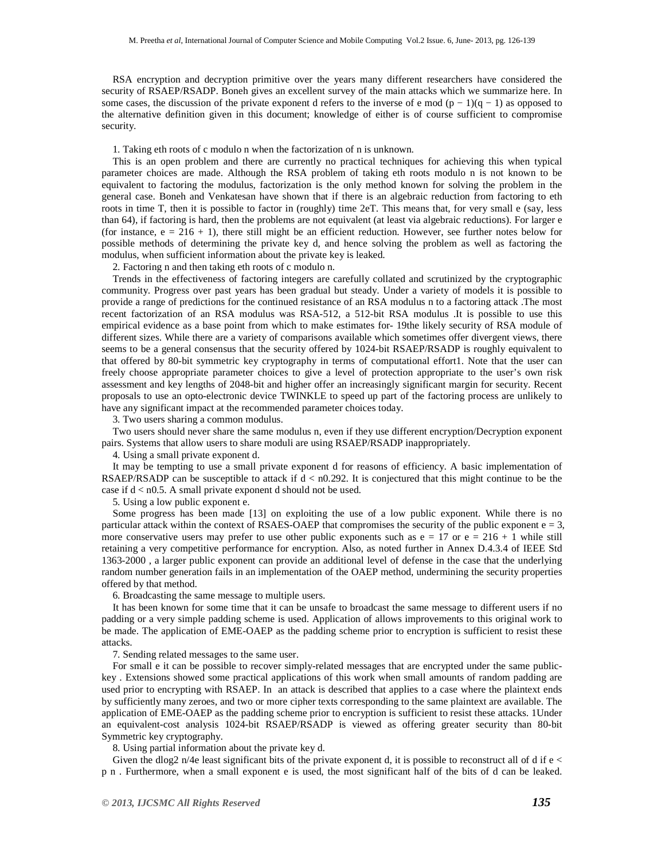RSA encryption and decryption primitive over the years many different researchers have considered the security of RSAEP/RSADP. Boneh gives an excellent survey of the main attacks which we summarize here. In some cases, the discussion of the private exponent d refers to the inverse of e mod  $(p - 1)(q - 1)$  as opposed to the alternative definition given in this document; knowledge of either is of course sufficient to compromise security.

1. Taking eth roots of c modulo n when the factorization of n is unknown.

This is an open problem and there are currently no practical techniques for achieving this when typical parameter choices are made. Although the RSA problem of taking eth roots modulo n is not known to be equivalent to factoring the modulus, factorization is the only method known for solving the problem in the general case. Boneh and Venkatesan have shown that if there is an algebraic reduction from factoring to eth roots in time T, then it is possible to factor in (roughly) time 2eT. This means that, for very small e (say, less than 64), if factoring is hard, then the problems are not equivalent (at least via algebraic reductions). For larger e (for instance,  $e = 216 + 1$ ), there still might be an efficient reduction. However, see further notes below for possible methods of determining the private key d, and hence solving the problem as well as factoring the modulus, when sufficient information about the private key is leaked.

2. Factoring n and then taking eth roots of c modulo n.

Trends in the effectiveness of factoring integers are carefully collated and scrutinized by the cryptographic community. Progress over past years has been gradual but steady. Under a variety of models it is possible to provide a range of predictions for the continued resistance of an RSA modulus n to a factoring attack .The most recent factorization of an RSA modulus was RSA-512, a 512-bit RSA modulus .It is possible to use this empirical evidence as a base point from which to make estimates for- 19the likely security of RSA module of different sizes. While there are a variety of comparisons available which sometimes offer divergent views, there seems to be a general consensus that the security offered by 1024-bit RSAEP/RSADP is roughly equivalent to that offered by 80-bit symmetric key cryptography in terms of computational effort1. Note that the user can freely choose appropriate parameter choices to give a level of protection appropriate to the user's own risk assessment and key lengths of 2048-bit and higher offer an increasingly significant margin for security. Recent proposals to use an opto-electronic device TWINKLE to speed up part of the factoring process are unlikely to have any significant impact at the recommended parameter choices today.

3. Two users sharing a common modulus.

Two users should never share the same modulus n, even if they use different encryption/Decryption exponent pairs. Systems that allow users to share moduli are using RSAEP/RSADP inappropriately.

4. Using a small private exponent d.

It may be tempting to use a small private exponent d for reasons of efficiency. A basic implementation of RSAEP/RSADP can be susceptible to attack if  $d < 10.292$ . It is conjectured that this might continue to be the case if  $d < n0.5$ . A small private exponent d should not be used.

5. Using a low public exponent e.

Some progress has been made [13] on exploiting the use of a low public exponent. While there is no particular attack within the context of RSAES-OAEP that compromises the security of the public exponent  $e = 3$ , more conservative users may prefer to use other public exponents such as  $e = 17$  or  $e = 216 + 1$  while still retaining a very competitive performance for encryption. Also, as noted further in Annex D.4.3.4 of IEEE Std 1363-2000 , a larger public exponent can provide an additional level of defense in the case that the underlying random number generation fails in an implementation of the OAEP method, undermining the security properties offered by that method.

6. Broadcasting the same message to multiple users.

It has been known for some time that it can be unsafe to broadcast the same message to different users if no padding or a very simple padding scheme is used. Application of allows improvements to this original work to be made. The application of EME-OAEP as the padding scheme prior to encryption is sufficient to resist these attacks.

7. Sending related messages to the same user.

For small e it can be possible to recover simply-related messages that are encrypted under the same publickey . Extensions showed some practical applications of this work when small amounts of random padding are used prior to encrypting with RSAEP. In an attack is described that applies to a case where the plaintext ends by sufficiently many zeroes, and two or more cipher texts corresponding to the same plaintext are available. The application of EME-OAEP as the padding scheme prior to encryption is sufficient to resist these attacks. 1Under an equivalent-cost analysis 1024-bit RSAEP/RSADP is viewed as offering greater security than 80-bit Symmetric key cryptography.

8. Using partial information about the private key d.

Given the dlog2 n/4e least significant bits of the private exponent d, it is possible to reconstruct all of d if  $\epsilon$  < p n . Furthermore, when a small exponent e is used, the most significant half of the bits of d can be leaked.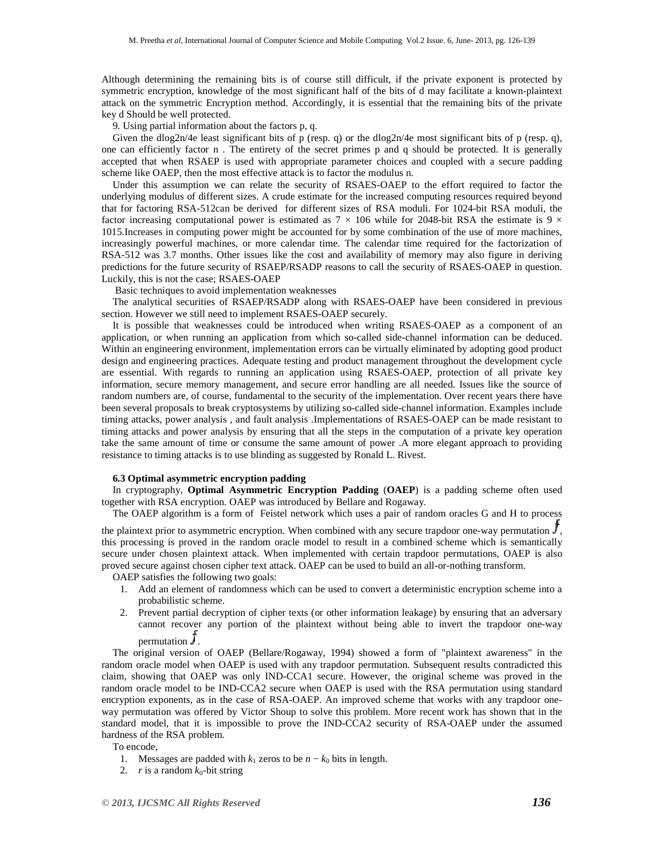Although determining the remaining bits is of course still difficult, if the private exponent is protected by symmetric encryption, knowledge of the most significant half of the bits of d may facilitate a known-plaintext attack on the symmetric Encryption method. Accordingly, it is essential that the remaining bits of the private key d Should be well protected.

9. Using partial information about the factors p, q.

Given the dlog2n/4e least significant bits of p (resp. q) or the dlog2n/4e most significant bits of p (resp. q), one can efficiently factor n . The entirety of the secret primes p and q should be protected. It is generally accepted that when RSAEP is used with appropriate parameter choices and coupled with a secure padding scheme like OAEP, then the most effective attack is to factor the modulus n.

Under this assumption we can relate the security of RSAES-OAEP to the effort required to factor the underlying modulus of different sizes. A crude estimate for the increased computing resources required beyond that for factoring RSA-512can be derived for different sizes of RSA moduli. For 1024-bit RSA moduli, the factor increasing computational power is estimated as  $7 \times 106$  while for 2048-bit RSA the estimate is 9  $\times$ 1015.Increases in computing power might be accounted for by some combination of the use of more machines, increasingly powerful machines, or more calendar time. The calendar time required for the factorization of RSA-512 was 3.7 months. Other issues like the cost and availability of memory may also figure in deriving predictions for the future security of RSAEP/RSADP reasons to call the security of RSAES-OAEP in question. Luckily, this is not the case; RSAES-OAEP

Basic techniques to avoid implementation weaknesses

The analytical securities of RSAEP/RSADP along with RSAES-OAEP have been considered in previous section. However we still need to implement RSAES-OAEP securely.

It is possible that weaknesses could be introduced when writing RSAES-OAEP as a component of an application, or when running an application from which so-called side-channel information can be deduced. Within an engineering environment, implementation errors can be virtually eliminated by adopting good product design and engineering practices. Adequate testing and product management throughout the development cycle are essential. With regards to running an application using RSAES-OAEP, protection of all private key information, secure memory management, and secure error handling are all needed. Issues like the source of random numbers are, of course, fundamental to the security of the implementation. Over recent years there have been several proposals to break cryptosystems by utilizing so-called side-channel information. Examples include timing attacks, power analysis , and fault analysis .Implementations of RSAES-OAEP can be made resistant to timing attacks and power analysis by ensuring that all the steps in the computation of a private key operation take the same amount of time or consume the same amount of power .A more elegant approach to providing resistance to timing attacks is to use blinding as suggested by Ronald L. Rivest.

#### **6.3 Optimal asymmetric encryption padding**

In cryptography, **Optimal Asymmetric Encryption Padding** (**OAEP**) is a padding scheme often used together with RSA encryption. OAEP was introduced by Bellare and Rogaway.

The OAEP algorithm is a form of Feistel network which uses a pair of random oracles G and H to process

the plaintext prior to asymmetric encryption. When combined with any secure trapdoor one-way permutation  $J$ , this processing is proved in the random oracle model to result in a combined scheme which is semantically secure under chosen plaintext attack. When implemented with certain trapdoor permutations, OAEP is also proved secure against chosen cipher text attack. OAEP can be used to build an all-or-nothing transform.

OAEP satisfies the following two goals:

- 1. Add an element of randomness which can be used to convert a deterministic encryption scheme into a probabilistic scheme.
- 2. Prevent partial decryption of cipher texts (or other information leakage) by ensuring that an adversary cannot recover any portion of the plaintext without being able to invert the trapdoor one-way permutation  $J$ .

The original version of OAEP (Bellare/Rogaway, 1994) showed a form of "plaintext awareness" in the random oracle model when OAEP is used with any trapdoor permutation. Subsequent results contradicted this claim, showing that OAEP was only IND-CCA1 secure. However, the original scheme was proved in the random oracle model to be IND-CCA2 secure when OAEP is used with the RSA permutation using standard encryption exponents, as in the case of RSA-OAEP. An improved scheme that works with any trapdoor oneway permutation was offered by Victor Shoup to solve this problem. More recent work has shown that in the standard model, that it is impossible to prove the IND-CCA2 security of RSA-OAEP under the assumed hardness of the RSA problem.

To encode,

- 1. Messages are padded with  $k_1$  zeros to be  $n k_0$  bits in length.
- 2. *r* is a random  $k_0$ -bit string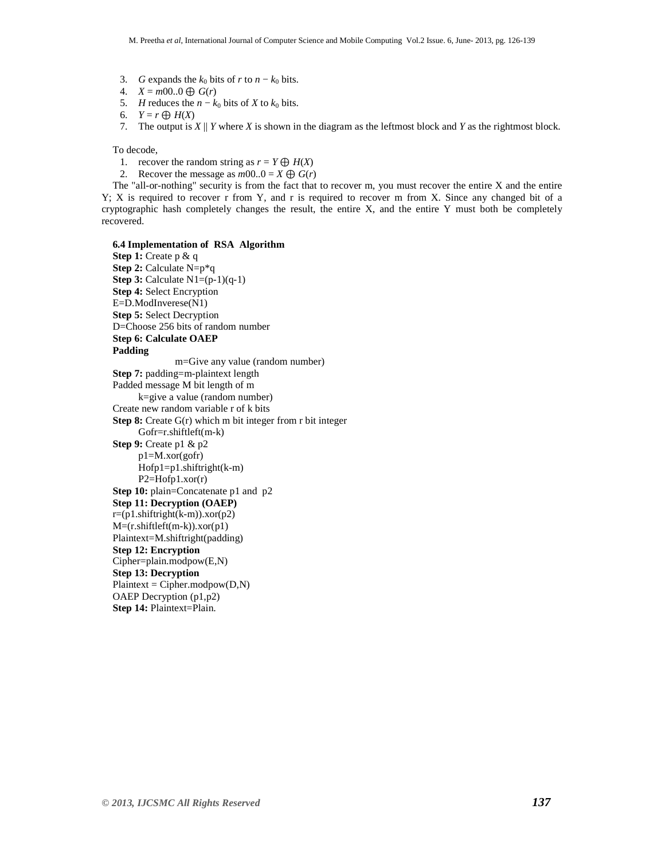- 3. *G* expands the  $k_0$  bits of *r* to  $n k_0$  bits.
- 4.  $X = m00..0 \oplus G(r)$
- 5. *H* reduces the  $n k_0$  bits of *X* to  $k_0$  bits.
- 6.  $Y = r \bigoplus H(X)$
- 7. The output is *X* || *Y* where *X* is shown in the diagram as the leftmost block and *Y* as the rightmost block.

To decode,

- 1. recover the random string as  $r = Y \bigoplus H(X)$
- 2. Recover the message as  $m00.0 = X \oplus G(r)$

The "all-or-nothing" security is from the fact that to recover m, you must recover the entire X and the entire Y; X is required to recover r from Y, and r is required to recover m from X. Since any changed bit of a cryptographic hash completely changes the result, the entire X, and the entire Y must both be completely recovered.

# **6.4 Implementation of RSA Algorithm**

**Step 1:** Create p & q **Step 2:** Calculate N=p\*q **Step 3:** Calculate  $N1=(p-1)(q-1)$ **Step 4:** Select Encryption E=D.ModInverese(N1) **Step 5:** Select Decryption D=Choose 256 bits of random number **Step 6: Calculate OAEP Padding**  m=Give any value (random number) **Step 7:** padding=m-plaintext length Padded message M bit length of m k=give a value (random number) Create new random variable r of k bits **Step 8:** Create G(r) which m bit integer from r bit integer Gofr=r.shiftleft(m-k) **Step 9:** Create p1 & p2  $p1=M.xor(gofr)$  $Hofp1=p1.shiftright(k-m)$  $P2 = Hofp1.xor(r)$ **Step 10:** plain=Concatenate p1 and p2 **Step 11: Decryption (OAEP)**   $r=(p1.shiftriplet(k-m)).xor(p2)$ M=(r.shiftleft(m-k)).xor(p1) Plaintext=M.shiftright(padding) **Step 12: Encryption**  Cipher=plain.modpow(E,N) **Step 13: Decryption**   $Plaintext = Cipher.modpow(D,N)$ OAEP Decryption (p1,p2) Step 14: Plaintext=Plain.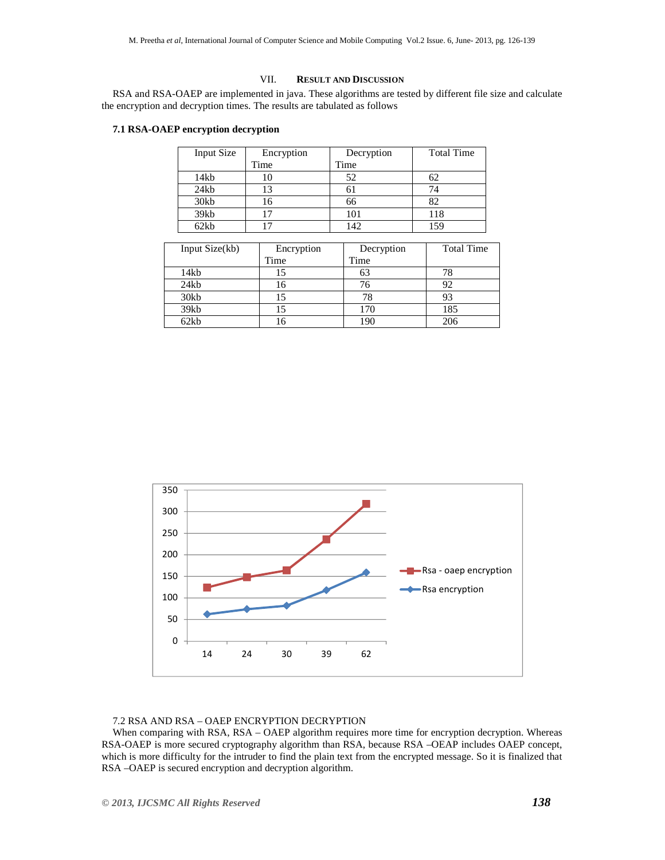# VII. **RESULT AND DISCUSSION**

RSA and RSA-OAEP are implemented in java. These algorithms are tested by different file size and calculate the encryption and decryption times. The results are tabulated as follows

# **7.1 RSA-OAEP encryption decryption**

| Input Size | Encryption   | Decryption | <b>Total Time</b> |
|------------|--------------|------------|-------------------|
|            | Time         | Time       |                   |
| 14kb       | 10           | 52         | 62                |
| 24kb       | 13           | 61         | 74                |
| 30kb       | 16           | 66         | 82                |
| 39kb       | רו           | 101        | 118               |
| 62kb       | $\mathbf{r}$ | 142        | 159               |

| Input Size(kb) | Encryption | Decryption | <b>Total Time</b> |
|----------------|------------|------------|-------------------|
|                | Time       | Time       |                   |
| 14kb           | 15         | 63         | 78                |
| 24kb           | 16         | 76         | 92                |
| 30kb           | 15         | 78         | 93                |
| 39kb           | 15         | 170        | 185               |
| 62kb           | 16         | 190        | 206               |



# 7.2 RSA AND RSA – OAEP ENCRYPTION DECRYPTION

When comparing with RSA, RSA – OAEP algorithm requires more time for encryption decryption. Whereas RSA-OAEP is more secured cryptography algorithm than RSA, because RSA –OEAP includes OAEP concept, which is more difficulty for the intruder to find the plain text from the encrypted message. So it is finalized that RSA –OAEP is secured encryption and decryption algorithm.